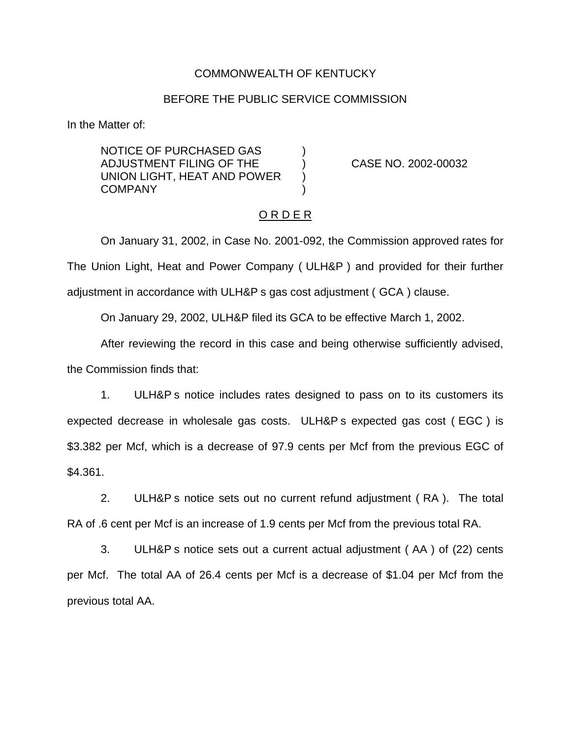#### COMMONWEALTH OF KENTUCKY

#### BEFORE THE PUBLIC SERVICE COMMISSION

In the Matter of:

NOTICE OF PURCHASED GAS ) ADJUSTMENT FILING OF THE ) CASE NO. 2002-00032 UNION LIGHT, HEAT AND POWER ) **COMPANY** 

### O R D E R

On January 31, 2002, in Case No. 2001-092, the Commission approved rates for The Union Light, Heat and Power Company ( ULH&P ) and provided for their further adjustment in accordance with ULH&P s gas cost adjustment ( GCA ) clause.

On January 29, 2002, ULH&P filed its GCA to be effective March 1, 2002.

After reviewing the record in this case and being otherwise sufficiently advised, the Commission finds that:

1. ULH&P s notice includes rates designed to pass on to its customers its expected decrease in wholesale gas costs. ULH&P s expected gas cost ( EGC ) is \$3.382 per Mcf, which is a decrease of 97.9 cents per Mcf from the previous EGC of \$4.361.

2. ULH&P s notice sets out no current refund adjustment ( RA ). The total RA of .6 cent per Mcf is an increase of 1.9 cents per Mcf from the previous total RA.

3. ULH&P s notice sets out a current actual adjustment ( AA ) of (22) cents per Mcf. The total AA of 26.4 cents per Mcf is a decrease of \$1.04 per Mcf from the previous total AA.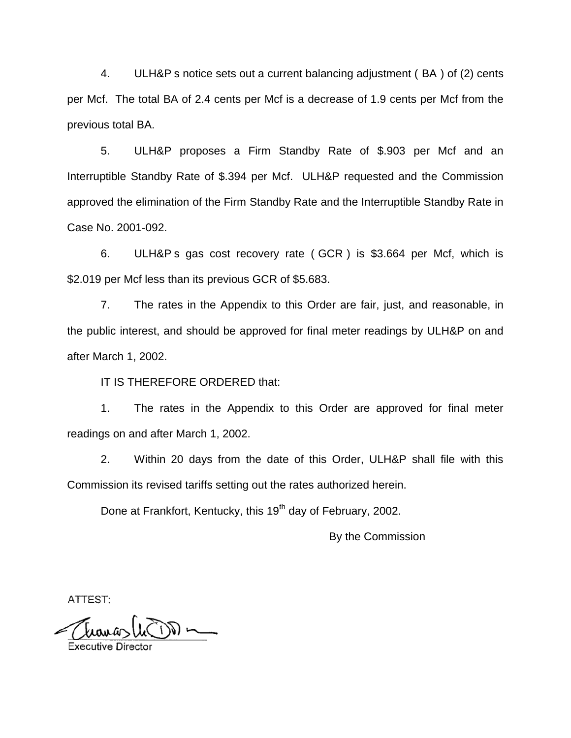4. ULH&P s notice sets out a current balancing adjustment ( BA ) of (2) cents per Mcf. The total BA of 2.4 cents per Mcf is a decrease of 1.9 cents per Mcf from the previous total BA.

5. ULH&P proposes a Firm Standby Rate of \$.903 per Mcf and an Interruptible Standby Rate of \$.394 per Mcf. ULH&P requested and the Commission approved the elimination of the Firm Standby Rate and the Interruptible Standby Rate in Case No. 2001-092.

6. ULH&P s gas cost recovery rate ( GCR ) is \$3.664 per Mcf, which is \$2.019 per Mcf less than its previous GCR of \$5.683.

7. The rates in the Appendix to this Order are fair, just, and reasonable, in the public interest, and should be approved for final meter readings by ULH&P on and after March 1, 2002.

IT IS THEREFORE ORDERED that:

1. The rates in the Appendix to this Order are approved for final meter readings on and after March 1, 2002.

2. Within 20 days from the date of this Order, ULH&P shall file with this Commission its revised tariffs setting out the rates authorized herein.

Done at Frankfort, Kentucky, this 19<sup>th</sup> day of February, 2002.

By the Commission

ATTEST:

**Executive Dired**